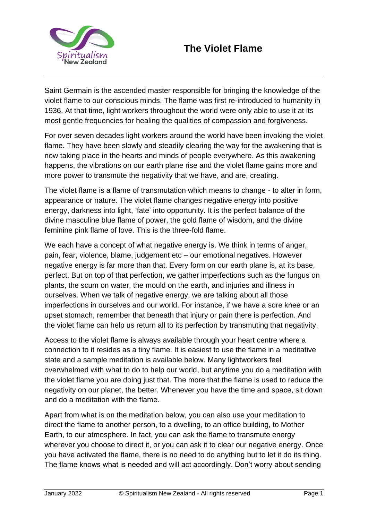

Saint Germain is the ascended master responsible for bringing the knowledge of the violet flame to our conscious minds. The flame was first re-introduced to humanity in 1936. At that time, light workers throughout the world were only able to use it at its most gentle frequencies for healing the qualities of compassion and forgiveness.

For over seven decades light workers around the world have been invoking the violet flame. They have been slowly and steadily clearing the way for the awakening that is now taking place in the hearts and minds of people everywhere. As this awakening happens, the vibrations on our earth plane rise and the violet flame gains more and more power to transmute the negativity that we have, and are, creating.

The violet flame is a flame of transmutation which means to change - to alter in form, appearance or nature. The violet flame changes negative energy into positive energy, darkness into light, 'fate' into opportunity. It is the perfect balance of the divine masculine blue flame of power, the gold flame of wisdom, and the divine feminine pink flame of love. This is the three-fold flame.

We each have a concept of what negative energy is. We think in terms of anger, pain, fear, violence, blame, judgement etc – our emotional negatives. However negative energy is far more than that. Every form on our earth plane is, at its base, perfect. But on top of that perfection, we gather imperfections such as the fungus on plants, the scum on water, the mould on the earth, and injuries and illness in ourselves. When we talk of negative energy, we are talking about all those imperfections in ourselves and our world. For instance, if we have a sore knee or an upset stomach, remember that beneath that injury or pain there is perfection. And the violet flame can help us return all to its perfection by transmuting that negativity.

Access to the violet flame is always available through your heart centre where a connection to it resides as a tiny flame. It is easiest to use the flame in a meditative state and a sample meditation is available below. Many lightworkers feel overwhelmed with what to do to help our world, but anytime you do a meditation with the violet flame you are doing just that. The more that the flame is used to reduce the negativity on our planet, the better. Whenever you have the time and space, sit down and do a meditation with the flame.

Apart from what is on the meditation below, you can also use your meditation to direct the flame to another person, to a dwelling, to an office building, to Mother Earth, to our atmosphere. In fact, you can ask the flame to transmute energy wherever you choose to direct it, or you can ask it to clear our negative energy. Once you have activated the flame, there is no need to do anything but to let it do its thing. The flame knows what is needed and will act accordingly. Don't worry about sending